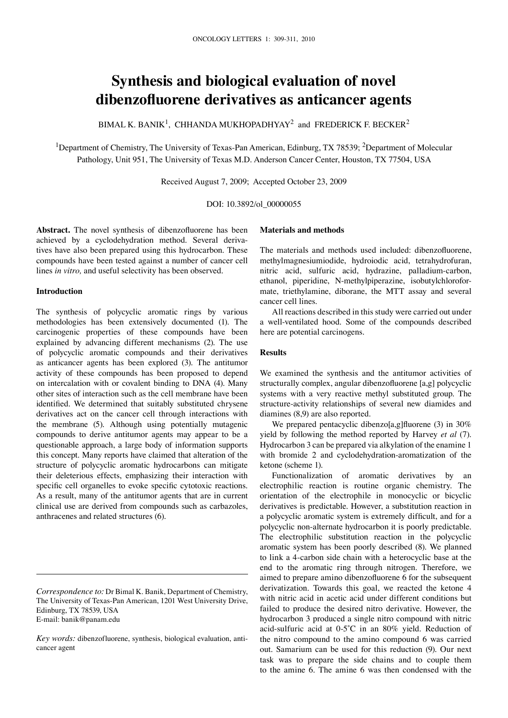# **Synthesis and biological evaluation of novel dibenzofluorene derivatives as anticancer agents**

BIMAL K. BANIK<sup>1</sup>, CHHANDA MUKHOPADHYAY<sup>2</sup> and FREDERICK F. BECKER<sup>2</sup>

<sup>1</sup>Department of Chemistry, The University of Texas-Pan American, Edinburg, TX 78539; <sup>2</sup>Department of Molecular Pathology, Unit 951, The University of Texas M.D. Anderson Cancer Center, Houston, TX 77504, USA

Received August 7, 2009; Accepted October 23, 2009

DOi: 10.3892/ol\_00000055

**Abstract.** The novel synthesis of dibenzofluorene has been achieved by a cyclodehydration method. Several derivatives have also been prepared using this hydrocarbon. These compounds have been tested against a number of cancer cell lines *in vitro,* and useful selectivity has been observed.

#### **Introduction**

The synthesis of polycyclic aromatic rings by various methodologies has been extensively documented (1). The carcinogenic properties of these compounds have been explained by advancing different mechanisms (2). The use of polycyclic aromatic compounds and their derivatives as anticancer agents has been explored (3). The antitumor activity of these compounds has been proposed to depend on intercalation with or covalent binding to DNA (4). Many other sites of interaction such as the cell membrane have been identified. We determined that suitably substituted chrysene derivatives act on the cancer cell through interactions with the membrane (5). Although using potentially mutagenic compounds to derive antitumor agents may appear to be a questionable approach, a large body of information supports this concept. Many reports have claimed that alteration of the structure of polycyclic aromatic hydrocarbons can mitigate their deleterious effects, emphasizing their interaction with specific cell organelles to evoke specific cytotoxic reactions. As a result, many of the antitumor agents that are in current clinical use are derived from compounds such as carbazoles, anthracenes and related structures (6).

## **Materials and methods**

The materials and methods used included: dibenzofluorene, methylmagnesiumiodide, hydroiodic acid, tetrahydrofuran, nitric acid, sulfuric acid, hydrazine, palladium-carbon, ethanol, piperidine, N-methylpiperazine, isobutylchloroformate, triethylamine, diborane, the MTT assay and several cancer cell lines.

All reactions described in this study were carried out under a well-ventilated hood. Some of the compounds described here are potential carcinogens.

# **Results**

We examined the synthesis and the antitumor activities of structurally complex, angular dibenzofluorene [a,g] polycyclic systems with a very reactive methyl substituted group. The structure-activity relationships of several new diamides and diamines (8,9) are also reported.

We prepared pentacyclic dibenzo[a,g]fluorene (3) in 30% yield by following the method reported by Harvey *et al* (7). Hydrocarbon 3 can be prepared via alkylation of the enamine 1 with bromide 2 and cyclodehydration-aromatization of the ketone (scheme 1).

Functionalization of aromatic derivatives by an electrophilic reaction is routine organic chemistry. The orientation of the electrophile in monocyclic or bicyclic derivatives is predictable. However, a substitution reaction in a polycyclic aromatic system is extremely difficult, and for a polycyclic non-alternate hydrocarbon it is poorly predictable. The electrophilic substitution reaction in the polycyclic aromatic system has been poorly described (8). We planned to link a 4-carbon side chain with a heterocyclic base at the end to the aromatic ring through nitrogen. Therefore, we aimed to prepare amino dibenzofluorene 6 for the subsequent derivatization. Towards this goal, we reacted the ketone 4 with nitric acid in acetic acid under different conditions but failed to produce the desired nitro derivative. However, the hydrocarbon 3 produced a single nitro compound with nitric acid-sulfuric acid at 0-5˚C in an 80% yield. Reduction of the nitro compound to the amino compound 6 was carried out. Samarium can be used for this reduction (9). Our next task was to prepare the side chains and to couple them to the amine 6. The amine 6 was then condensed with the

*Correspondence to:* Dr Bimal K. Banik, Department of Chemistry, The University of Texas-Pan American, 1201 West University Drive, Edinburg, TX 78539, USA e-mail: banik@panam.edu

*Key words:* dibenzofluorene, synthesis, biological evaluation, anticancer agent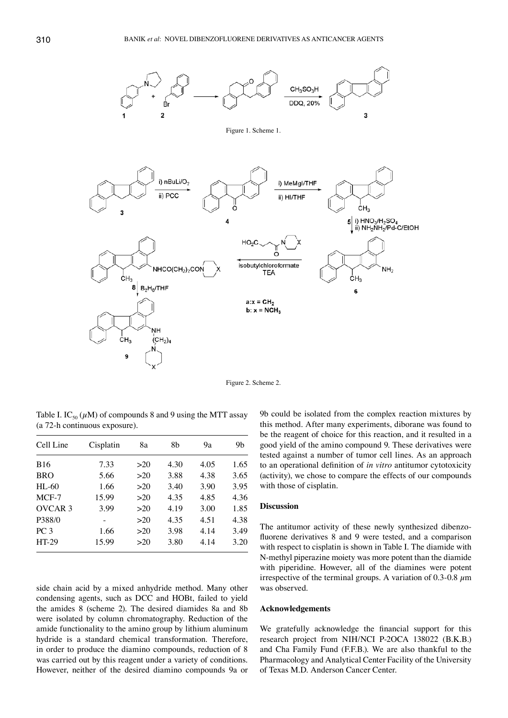

Figure 2. Scheme 2.

Table I. IC<sub>50</sub> ( $\mu$ M) of compounds 8 and 9 using the MTT assay (a 72-h continuous exposure).

| Cell Line          | Cisplatin | 8a  | 8b   | 9а   | 9b   |
|--------------------|-----------|-----|------|------|------|
| <b>B16</b>         | 7.33      | >20 | 4.30 | 4.05 | 1.65 |
| <b>BRO</b>         | 5.66      | >20 | 3.88 | 4.38 | 3.65 |
| $HI - 60$          | 1.66      | >20 | 3.40 | 3.90 | 3.95 |
| $MCF-7$            | 15.99     | >20 | 4.35 | 4.85 | 4.36 |
| OVCAR <sub>3</sub> | 3.99      | >20 | 4.19 | 3.00 | 1.85 |
| P388/0             |           | >20 | 4.35 | 4.51 | 4.38 |
| PC <sub>3</sub>    | 1.66      | >20 | 3.98 | 4.14 | 3.49 |
| HT-29              | 15.99     | >20 | 3.80 | 4.14 | 3.20 |

side chain acid by a mixed anhydride method. Many other condensing agents, such as DCC and HOBt, failed to yield the amides 8 (scheme 2). The desired diamides 8a and 8b were isolated by column chromatography. Reduction of the amide functionality to the amino group by lithium aluminum hydride is a standard chemical transformation. Therefore, in order to produce the diamino compounds, reduction of 8 was carried out by this reagent under a variety of conditions. However, neither of the desired diamino compounds 9a or 9b could be isolated from the complex reaction mixtures by this method. After many experiments, diborane was found to be the reagent of choice for this reaction, and it resulted in a good yield of the amino compound 9. These derivatives were tested against a number of tumor cell lines. As an approach to an operational definition of *in vitro* antitumor cytotoxicity (activity), we chose to compare the effects of our compounds with those of cisplatin.

## **Discussion**

The antitumor activity of these newly synthesized dibenzofluorene derivatives 8 and 9 were tested, and a comparison with respect to cisplatin is shown in Table I. The diamide with N-methyl piperazine moiety was more potent than the diamide with piperidine. However, all of the diamines were potent irrespective of the terminal groups. A variation of 0.3-0.8  $\mu$ m was observed.

## **Acknowledgements**

We gratefully acknowledge the financial support for this research project from NiH/NCi p-2OCA 138022 (B.K.B.) and Cha Family Fund (F.F.B.). We are also thankful to the Pharmacology and Analytical Center Facility of the University of Texas M.D. Anderson Cancer Center.